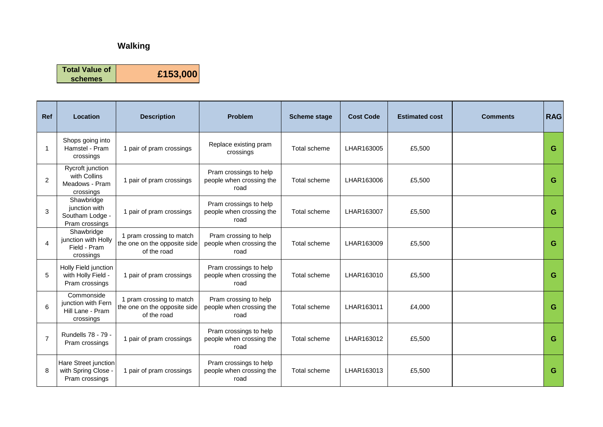| <b>Ref</b>     | <b>Location</b>                                                   | <b>Description</b>                                                      | <b>Problem</b>                                             | <b>Scheme stage</b> | <b>Cost Code</b> | <b>Estimated cost</b> | <b>Comments</b> | <b>RAG</b> |
|----------------|-------------------------------------------------------------------|-------------------------------------------------------------------------|------------------------------------------------------------|---------------------|------------------|-----------------------|-----------------|------------|
| 1              | Shops going into<br>Hamstel - Pram<br>crossings                   | 1 pair of pram crossings                                                | Replace existing pram<br>crossings                         | Total scheme        | LHAR163005       | £5,500                |                 | G          |
| 2              | Rycroft junction<br>with Collins<br>Meadows - Pram<br>crossings   | 1 pair of pram crossings                                                | Pram crossings to help<br>people when crossing the<br>road | Total scheme        | LHAR163006       | £5,500                |                 | G          |
| $\mathsf 3$    | Shawbridge<br>junction with<br>Southam Lodge -<br>Pram crossings  | 1 pair of pram crossings                                                | Pram crossings to help<br>people when crossing the<br>road | <b>Total scheme</b> | LHAR163007       | £5,500                |                 | G          |
| 4              | Shawbridge<br>junction with Holly<br>Field - Pram<br>crossings    | 1 pram crossing to match<br>the one on the opposite side<br>of the road | Pram crossing to help<br>people when crossing the<br>road  | Total scheme        | LHAR163009       | £5,500                |                 | G          |
| 5              | Holly Field junction<br>with Holly Field -<br>Pram crossings      | 1 pair of pram crossings                                                | Pram crossings to help<br>people when crossing the<br>road | <b>Total scheme</b> | LHAR163010       | £5,500                |                 | G          |
| 6              | Commonside<br>junction with Fern<br>Hill Lane - Pram<br>crossings | 1 pram crossing to match<br>the one on the opposite side<br>of the road | Pram crossing to help<br>people when crossing the<br>road  | Total scheme        | LHAR163011       | £4,000                |                 | G.         |
| $\overline{7}$ | Rundells 78 - 79 -<br>Pram crossings                              | 1 pair of pram crossings                                                | Pram crossings to help<br>people when crossing the<br>road | <b>Total scheme</b> | LHAR163012       | £5,500                |                 | G          |
| 8              | Hare Street junction<br>with Spring Close -<br>Pram crossings     | 1 pair of pram crossings                                                | Pram crossings to help<br>people when crossing the<br>road | <b>Total scheme</b> | LHAR163013       | £5,500                |                 | G          |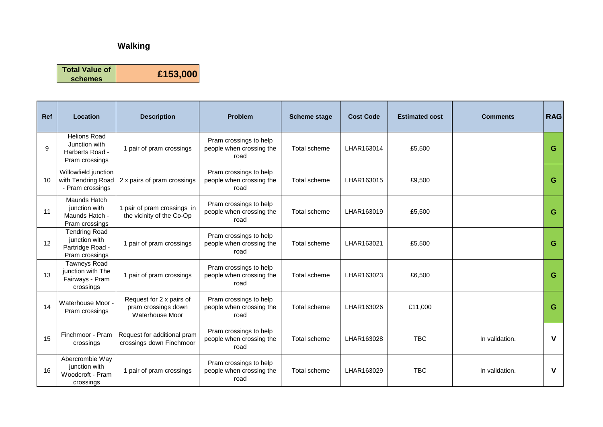| Ref | Location                                                                    | <b>Description</b>                                                 | <b>Problem</b>                                             | <b>Scheme stage</b> | <b>Cost Code</b> | <b>Estimated cost</b> | <b>Comments</b> | <b>RAG</b> |
|-----|-----------------------------------------------------------------------------|--------------------------------------------------------------------|------------------------------------------------------------|---------------------|------------------|-----------------------|-----------------|------------|
| 9   | <b>Helions Road</b><br>Junction with<br>Harberts Road -<br>Pram crossings   | 1 pair of pram crossings                                           | Pram crossings to help<br>people when crossing the<br>road | Total scheme        | LHAR163014       | £5,500                |                 | G          |
| 10  | Willowfield junction<br>with Tendring Road<br>- Pram crossings              | 2 x pairs of pram crossings                                        | Pram crossings to help<br>people when crossing the<br>road | <b>Total scheme</b> | LHAR163015       | £9,500                |                 | G          |
| 11  | Maunds Hatch<br>junction with<br>Maunds Hatch -<br>Pram crossings           | 1 pair of pram crossings in<br>the vicinity of the Co-Op           | Pram crossings to help<br>people when crossing the<br>road | <b>Total scheme</b> | LHAR163019       | £5,500                |                 | G          |
| 12  | <b>Tendring Road</b><br>junction with<br>Partridge Road -<br>Pram crossings | 1 pair of pram crossings                                           | Pram crossings to help<br>people when crossing the<br>road | Total scheme        | LHAR163021       | £5,500                |                 | G          |
| 13  | <b>Tawneys Road</b><br>junction with The<br>Fairways - Pram<br>crossings    | 1 pair of pram crossings                                           | Pram crossings to help<br>people when crossing the<br>road | Total scheme        | LHAR163023       | £6,500                |                 | G          |
| 14  | Waterhouse Moor -<br>Pram crossings                                         | Request for 2 x pairs of<br>pram crossings down<br>Waterhouse Moor | Pram crossings to help<br>people when crossing the<br>road | Total scheme        | LHAR163026       | £11,000               |                 | G          |
| 15  | Finchmoor - Pram<br>crossings                                               | Request for additional pram<br>crossings down Finchmoor            | Pram crossings to help<br>people when crossing the<br>road | Total scheme        | LHAR163028       | <b>TBC</b>            | In validation.  | V          |
| 16  | Abercrombie Way<br>junction with<br>Woodcroft - Pram<br>crossings           | 1 pair of pram crossings                                           | Pram crossings to help<br>people when crossing the<br>road | Total scheme        | LHAR163029       | <b>TBC</b>            | In validation.  | V          |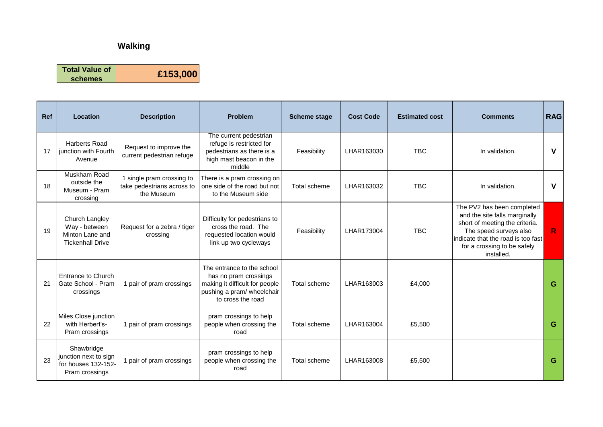| <b>Ref</b> | Location                                                                      | <b>Description</b>                                                    | <b>Problem</b>                                                                                                                           | <b>Scheme stage</b> | <b>Cost Code</b> | <b>Estimated cost</b> | <b>Comments</b>                                                                                                                                                                                            | <b>RAG</b>   |
|------------|-------------------------------------------------------------------------------|-----------------------------------------------------------------------|------------------------------------------------------------------------------------------------------------------------------------------|---------------------|------------------|-----------------------|------------------------------------------------------------------------------------------------------------------------------------------------------------------------------------------------------------|--------------|
| 17         | <b>Harberts Road</b><br>junction with Fourth<br>Avenue                        | Request to improve the<br>current pedestrian refuge                   | The current pedestrian<br>refuge is restricted for<br>pedestrians as there is a<br>high mast beacon in the<br>middle                     | Feasibility         | LHAR163030       | <b>TBC</b>            | In validation.                                                                                                                                                                                             | V            |
| 18         | Muskham Road<br>outside the<br>Museum - Pram<br>crossing                      | 1 single pram crossing to<br>take pedestrians across to<br>the Museum | There is a pram crossing on<br>one side of the road but not<br>to the Museum side                                                        | <b>Total scheme</b> | LHAR163032       | <b>TBC</b>            | In validation.                                                                                                                                                                                             | $\mathsf{V}$ |
| 19         | Church Langley<br>Way - between<br>Minton Lane and<br><b>Tickenhall Drive</b> | Request for a zebra / tiger<br>crossing                               | Difficulty for pedestrians to<br>cross the road. The<br>requested location would<br>link up two cycleways                                | Feasibility         | LHAR173004       | <b>TBC</b>            | The PV2 has been completed<br>and the site falls marginally<br>short of meeting the criteria.<br>The speed surveys also<br>indicate that the road is too fast<br>for a crossing to be safely<br>installed. | R            |
| 21         | <b>Entrance to Church</b><br>Gate School - Pram<br>crossings                  | 1 pair of pram crossings                                              | The entrance to the school<br>has no pram crossings<br>making it difficult for people<br>pushing a pram/ wheelchair<br>to cross the road | Total scheme        | LHAR163003       | £4,000                |                                                                                                                                                                                                            | G            |
| 22         | Miles Close junction<br>with Herbert's-<br>Pram crossings                     | 1 pair of pram crossings                                              | pram crossings to help<br>people when crossing the<br>road                                                                               | Total scheme        | LHAR163004       | £5,500                |                                                                                                                                                                                                            | G            |
| 23         | Shawbridge<br>junction next to sign<br>for houses 132-152-<br>Pram crossings  | 1 pair of pram crossings                                              | pram crossings to help<br>people when crossing the<br>road                                                                               | Total scheme        | LHAR163008       | £5,500                |                                                                                                                                                                                                            | G            |